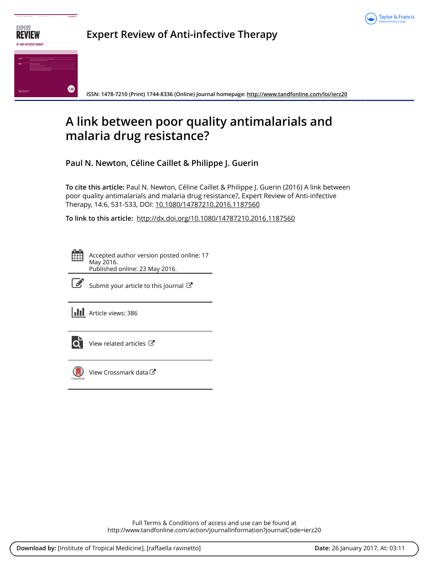



# **A link between poor quality antimalarials and malaria drug resistance?**

**Paul N. Newton, Céline Caillet & Philippe J. Guerin**

**To cite this article:** Paul N. Newton, Céline Caillet & Philippe J. Guerin (2016) A link between poor quality antimalarials and malaria drug resistance?, Expert Review of Anti-infective Therapy, 14:6, 531-533, DOI: [10.1080/14787210.2016.1187560](http://www.tandfonline.com/action/showCitFormats?doi=10.1080/14787210.2016.1187560)

**To link to this article:** <http://dx.doi.org/10.1080/14787210.2016.1187560>

Accepted author version posted online: 17 May 2016. Published online: 23 May 2016.



 $\overline{\mathscr{L}}$  [Submit your article to this journal](http://www.tandfonline.com/action/authorSubmission?journalCode=ierz20&show=instructions)  $\mathbb{Z}$ 

**III** Article views: 386



 $\overline{Q}$  [View related articles](http://www.tandfonline.com/doi/mlt/10.1080/14787210.2016.1187560)  $\overline{G}$ 



[View Crossmark data](http://crossmark.crossref.org/dialog/?doi=10.1080/14787210.2016.1187560&domain=pdf&date_stamp=2016-05-17)  $\mathbb{Z}$ 

Full Terms & Conditions of access and use can be found at <http://www.tandfonline.com/action/journalInformation?journalCode=ierz20>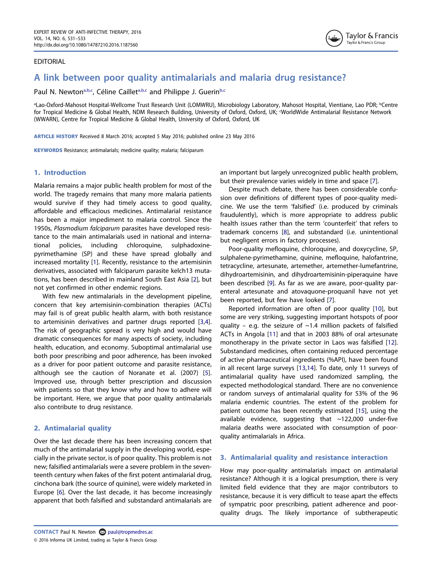## EDITORIAL



# A link between poor quality antimalarials and malaria drug resistance?

Paul N. Newton<sup>[a,b](#page-1-0)[,c](#page-1-1)</sup>, Céline Caillet<sup>a,[b](#page-1-0),c</sup> and Philippe J. Guerin<sup>b,c</sup>

<span id="page-1-1"></span><span id="page-1-0"></span>aLao-Oxford-Mahosot Hospital-Wellcome Trust Research Unit (LOMWRU), Microbiology Laboratory, Mahosot Hospital, Vientiane, Lao PDR; <sup>b</sup>Centre for Tropical Medicine & Global Health, NDM Research Building, University of Oxford, Oxford, UK; 'WorldWide Antimalarial Resistance Network (WWARN), Centre for Tropical Medicine & Global Health, University of Oxford, Oxford, UK

ARTICLE HISTORY Received 8 March 2016; accepted 5 May 2016; published online 23 May 2016

KEYWORDS Resistance; antimalarials; medicine quality; malaria; falciparum

# 1. Introduction

Malaria remains a major public health problem for most of the world. The tragedy remains that many more malaria patients would survive if they had timely access to good quality, affordable and efficacious medicines. Antimalarial resistance has been a major impediment to malaria control. Since the 1950s, Plasmodium falciparum parasites have developed resistance to the main antimalarials used in national and international policies, including chloroquine, sulphadoxinepyrimethamine (SP) and these have spread globally and increased mortality [\[1](#page-3-0)]. Recently, resistance to the artemisinin derivatives, associated with falciparum parasite kelch13 mutations, has been described in mainland South East Asia [\[2](#page-3-1)], but not yet confirmed in other endemic regions.

<span id="page-1-3"></span><span id="page-1-2"></span>With few new antimalarials in the development pipeline, concern that key artemisinin-combination therapies (ACTs) may fail is of great public health alarm, with both resistance to artemisinin derivatives and partner drugs reported [\[3](#page-3-2)[,4](#page-3-3)]. The risk of geographic spread is very high and would have dramatic consequences for many aspects of society, including health, education, and economy. Suboptimal antimalarial use both poor prescribing and poor adherence, has been invoked as a driver for poor patient outcome and parasite resistance, although see the caution of Noranate et al. (2007) [\[5](#page-3-4)]. Improved use, through better prescription and discussion with patients so that they know why and how to adhere will be important. Here, we argue that poor quality antimalarials also contribute to drug resistance.

# <span id="page-1-4"></span>2. Antimalarial quality

<span id="page-1-5"></span>Over the last decade there has been increasing concern that much of the antimalarial supply in the developing world, especially in the private sector, is of poor quality. This problem is not new; falsified antimalarials were a severe problem in the seventeenth century when fakes of the first potent antimalarial drug, cinchona bark (the source of quinine), were widely marketed in Europe [[6\]](#page-3-5). Over the last decade, it has become increasingly apparent that both falsified and substandard antimalarials are

an important but largely unrecognized public health problem, but their prevalence varies widely in time and space [\[7\]](#page-3-6).

Despite much debate, there has been considerable confusion over definitions of different types of poor-quality medicine. We use the term 'falsified' (i.e. produced by criminals fraudulently), which is more appropriate to address public health issues rather than the term 'counterfeit' that refers to trademark concerns [\[8\]](#page-3-7), and substandard (i.e. unintentional but negligent errors in factory processes).

<span id="page-1-7"></span>Poor-quality mefloquine, chloroquine, and doxycycline, SP, sulphalene-pyrimethamine, quinine, mefloquine, halofantrine, tetracycline, artesunate, artemether, artemether-lumefantrine, dihydroartemisinin, and dihydroartemisinin-piperaquine have been described [[9\]](#page-3-8). As far as we are aware, poor-quality parenteral artesunate and atovaquone-proquanil have not yet been reported, but few have looked [\[7\]](#page-3-6).

<span id="page-1-11"></span><span id="page-1-10"></span><span id="page-1-9"></span><span id="page-1-8"></span><span id="page-1-6"></span>Reported information are often of poor quality [[10](#page-3-9)], but some are very striking, suggesting important hotspots of poor quality – e.g. the seizure of  $\sim$ 1.4 million packets of falsified ACTs in Angola [[11](#page-3-10)] and that in 2003 88% of oral artesunate monotherapy in the private sector in Laos was falsified [[12\]](#page-3-11). Substandard medicines, often containing reduced percentage of active pharmaceutical ingredients (%API), have been found in all recent large surveys [\[13](#page-3-12)[,14\]](#page-3-13). To date, only 11 surveys of antimalarial quality have used randomized sampling, the expected methodological standard. There are no convenience or random surveys of antimalarial quality for 53% of the 96 malaria endemic countries. The extent of the problem for patient outcome has been recently estimated [[15\]](#page-3-14), using the available evidence, suggesting that ~122,000 under-five malaria deaths were associated with consumption of poorquality antimalarials in Africa.

# <span id="page-1-12"></span>3. Antimalarial quality and resistance interaction

How may poor-quality antimalarials impact on antimalarial resistance? Although it is a logical presumption, there is very limited field evidence that they are major contributors to resistance, because it is very difficult to tease apart the effects of sympatric poor prescribing, patient adherence and poorquality drugs. The likely importance of subtherapeutic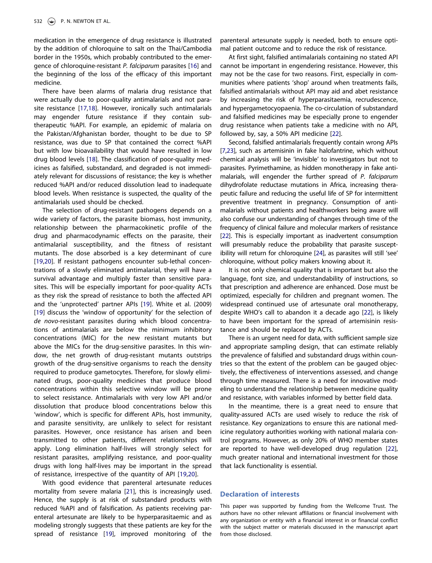<span id="page-2-0"></span>medication in the emergence of drug resistance is illustrated by the addition of chloroquine to salt on the Thai/Cambodia border in the 1950s, which probably contributed to the emergence of chloroquine-resistant P. falciparum parasites [\[16](#page-3-15)] and the beginning of the loss of the efficacy of this important medicine.

<span id="page-2-1"></span>There have been alarms of malaria drug resistance that were actually due to poor-quality antimalarials and not parasite resistance [[17,](#page-3-16)[18](#page-3-17)]. However, ironically such antimalarials may engender future resistance if they contain subtherapeutic %API. For example, an epidemic of malaria on the Pakistan/Afghanistan border, thought to be due to SP resistance, was due to SP that contained the correct %API but with low bioavailability that would have resulted in low drug blood levels [\[18\]](#page-3-17). The classification of poor-quality medicines as falsified, substandard, and degraded is not immediately relevant for discussions of resistance; the key is whether reduced %API and/or reduced dissolution lead to inadequate blood levels. When resistance is suspected, the quality of the antimalarials used should be checked.

<span id="page-2-2"></span>The selection of drug-resistant pathogens depends on a wide variety of factors, the parasite biomass, host immunity, relationship between the pharmacokinetic profile of the drug and pharmacodynamic effects on the parasite, their antimalarial susceptibility, and the fitness of resistant mutants. The dose absorbed is a key determinant of cure [[19,](#page-3-18)[20\]](#page-3-19). If resistant pathogens encounter sub-lethal concentrations of a slowly eliminated antimalarial, they will have a survival advantage and multiply faster than sensitive parasites. This will be especially important for poor-quality ACTs as they risk the spread of resistance to both the affected API and the 'unprotected' partner APIs [[19](#page-3-18)]. White et al. (2009) [[19\]](#page-3-18) discuss the 'window of opportunity' for the selection of de novo-resistant parasites during which blood concentrations of antimalarials are below the minimum inhibitory concentrations (MIC) for the new resistant mutants but above the MICs for the drug-sensitive parasites. In this window, the net growth of drug-resistant mutants outstrips growth of the drug-sensitive organisms to reach the density required to produce gametocytes. Therefore, for slowly eliminated drugs, poor-quality medicines that produce blood concentrations within this selective window will be prone to select resistance. Antimalarials with very low API and/or dissolution that produce blood concentrations below this 'window', which is specific for different APIs, host immunity, and parasite sensitivity, are unlikely to select for resistant parasites. However, once resistance has arisen and been transmitted to other patients, different relationships will apply. Long elimination half-lives will strongly select for resistant parasites, amplifying resistance, and poor-quality drugs with long half-lives may be important in the spread of resistance, irrespective of the quantity of API [\[19](#page-3-18)[,20](#page-3-19)].

<span id="page-2-5"></span><span id="page-2-4"></span><span id="page-2-3"></span>With good evidence that parenteral artesunate reduces mortality from severe malaria [\[21\]](#page-3-20), this is increasingly used. Hence, the supply is at risk of substandard products with reduced %API and of falsification. As patients receiving parenteral artesunate are likely to be hyperparasitaemic and as modeling strongly suggests that these patients are key for the spread of resistance [[19](#page-3-18)], improved monitoring of the parenteral artesunate supply is needed, both to ensure optimal patient outcome and to reduce the risk of resistance.

At first sight, falsified antimalarials containing no stated API cannot be important in engendering resistance. However, this may not be the case for two reasons. First, especially in communities where patients 'shop' around when treatments fails, falsified antimalarials without API may aid and abet resistance by increasing the risk of hyperparasitaemia, recrudescence, and hypergametocyopaenia. The co-circulation of substandard and falsified medicines may be especially prone to engender drug resistance when patients take a medicine with no API, followed by, say, a 50% API medicine [[22](#page-3-21)].

<span id="page-2-7"></span>Second, falsified antimalarials frequently contain wrong APIs [\[7](#page-3-6)[,23\]](#page-3-22), such as artemisinin in fake halofantrine, which without chemical analysis will be 'invisible' to investigators but not to parasites. Pyrimethamine, as hidden monotherapy in fake antimalarials, will engender the further spread of P. falciparum dihydrofolate reductase mutations in Africa, increasing therapeutic failure and reducing the useful life of SP for intermittent preventive treatment in pregnancy. Consumption of antimalarials without patients and healthworkers being aware will also confuse our understanding of changes through time of the frequency of clinical failure and molecular markers of resistance [\[22\]](#page-3-21). This is especially important as inadvertent consumption will presumably reduce the probability that parasite susceptibility will return for chloroquine [[24](#page-3-23)], as parasites will still 'see' chloroquine, without policy makers knowing about it.

<span id="page-2-8"></span>It is not only chemical quality that is important but also the language, font size, and understandability of instructions, so that prescription and adherence are enhanced. Dose must be optimized, especially for children and pregnant women. The widespread continued use of artesunate oral monotherapy, despite WHO's call to abandon it a decade ago [\[22](#page-3-21)], is likely to have been important for the spread of artemisinin resistance and should be replaced by ACTs.

There is an urgent need for data, with sufficient sample size and appropriate sampling design, that can estimate reliably the prevalence of falsified and substandard drugs within countries so that the extent of the problem can be gauged objectively, the effectiveness of interventions assessed, and change through time measured. There is a need for innovative modeling to understand the relationship between medicine quality and resistance, with variables informed by better field data.

<span id="page-2-6"></span>In the meantime, there is a great need to ensure that quality-assured ACTs are used wisely to reduce the risk of resistance. Key organizations to ensure this are national medicine regulatory authorities working with national malaria control programs. However, as only 20% of WHO member states are reported to have well-developed drug regulation [\[22\]](#page-3-21), much greater national and international investment for those that lack functionality is essential.

### Declaration of interests

This paper was supported by funding from the Wellcome Trust. The authors have no other relevant affiliations or financial involvement with any organization or entity with a financial interest in or financial conflict with the subject matter or materials discussed in the manuscript apart from those disclosed.